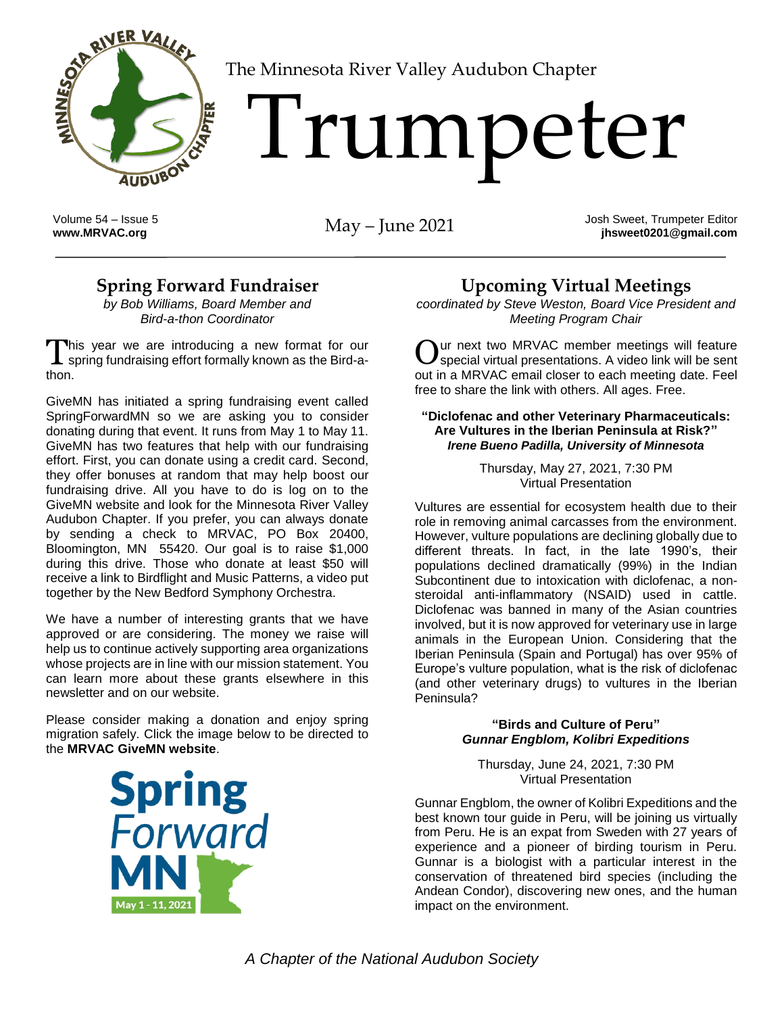

[T](http://www.MRVAC.org)he Minnesota River Valley Audubon Chapter

# 'Tumpeter

Volume 54 – Issue 5<br>www.MRVAC.org

**Way – June 2021** Josh Sweet, Trumpeter Editor **jhsweet0201@gmail.com**

### **Spring Forward Fundraiser**

*by Bob Williams, Board Member and Bird-a-thon Coordinator*

This year we are introducing a new format for our This year we are introducing a new format for our  $\mathbf 0$ thon.

GiveMN has initiated a spring fundraising event called SpringForwardMN so we are asking you to consider donating during that event. It runs from May 1 to May 11. GiveMN has two features that help with our fundraising effort. First, you can donate using a credit card. Second, they offer bonuses at random that may help boost our fundraising drive. All you have to do is log on to the GiveMN website and look for the Minnesota River Valley Audubon Chapter. If you prefer, you can always donate by sending a check to MRVAC, PO Box 20400, Bloomington, MN 55420. Our goal is to raise \$1,000 during this drive. Those who donate at least \$50 will receive a link to Birdflight and Music Patterns, a video put together by the New Bedford Symphony Orchestra.

We have a number of interesting grants that we have approved or are considering. The money we raise will help us to continue actively supporting area organizations whose projects are in line with our mission statement. You can learn more about these grants elsewhere in this newsletter and on our website.

Please consider making a donation and enjoy spring migration safely. Click the image below to be directed to the **M[RVAC GiveMN website](https://www.givemn.org/organization/Minnesota-River-Valley-Audubon-Chapter)**.



### **Upcoming Virtual Meetings**

*coordinated by Steve Weston, Board Vice President and Meeting Program Chair*

ur next two MRVAC member meetings will feature special virtual presentations. A video link will be sent out in a MRVAC email closer to each meeting date. Feel free to share the link with others. All ages. Free.

#### **"Diclofenac and other Veterinary Pharmaceuticals: Are Vultures in the Iberian Peninsula at Risk?"** *Irene Bueno Padilla, University of Minnesota*

Thursday, May 27, 2021, 7:30 PM Virtual Presentation

Vultures are essential for ecosystem health due to their role in removing animal carcasses from the environment. However, vulture populations are declining globally due to different threats. In fact, in the late 1990's, their populations declined dramatically (99%) in the Indian Subcontinent due to intoxication with diclofenac, a nonsteroidal anti-inflammatory (NSAID) used in cattle. Diclofenac was banned in many of the Asian countries involved, but it is now approved for veterinary use in large animals in the European Union. Considering that the Iberian Peninsula (Spain and Portugal) has over 95% of Europe's vulture population, what is the risk of diclofenac (and other veterinary drugs) to vultures in the Iberian Peninsula?

#### **"Birds and Culture of Peru"** *Gunnar Engblom, Kolibri Expeditions*

Thursday, June 24, 2021, 7:30 PM Virtual Presentation

Gunnar Engblom, the owner of Kolibri Expeditions and the best known tour guide in Peru, will be joining us virtually from Peru. He is an expat from Sweden with 27 years of experience and a pioneer of birding tourism in Peru. Gunnar is a biologist with a particular interest in the conservation of threatened bird species (including the Andean Condor), discovering new ones, and the human impact on the environment.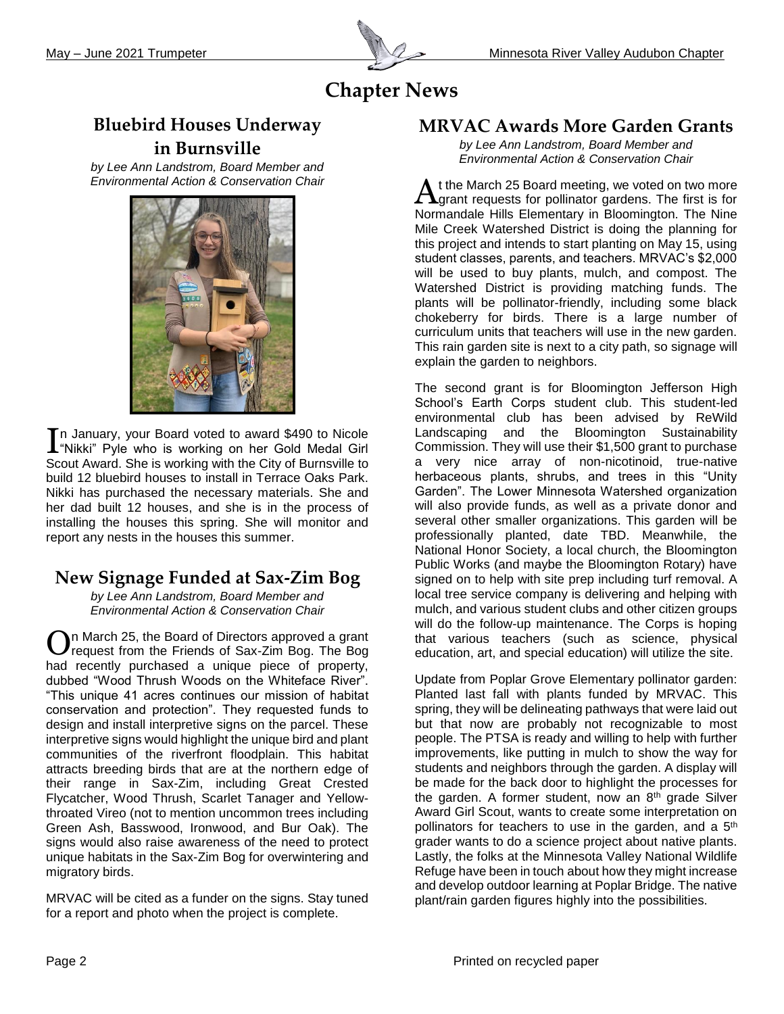

# **Chapter News**

## **Bluebird Houses Underway in Burnsville**

*by Lee Ann Landstrom, Board Member and Environmental Action & Conservation Chair*



n January, your Board voted to award \$490 to Nicole In January, your Board voted to award \$490 to Nicole<br>
I "Nikki" Pyle who is working on her Gold Medal Girl Scout Award. She is working with the City of Burnsville to build 12 bluebird houses to install in Terrace Oaks Park. Nikki has purchased the necessary materials. She and her dad built 12 houses, and she is in the process of installing the houses this spring. She will monitor and report any nests in the houses this summer.

# **New Signage Funded at Sax-Zim Bog**

*by Lee Ann Landstrom, Board Member and Environmental Action & Conservation Chair*

n March 25, the Board of Directors approved a grant request from the Friends of Sax-Zim Bog. The Bog had recently purchased a unique piece of property, dubbed "Wood Thrush Woods on the Whiteface River". "This unique 41 acres continues our mission of habitat conservation and protection". They requested funds to design and install interpretive signs on the parcel. These interpretive signs would highlight the unique bird and plant communities of the riverfront floodplain. This habitat attracts breeding birds that are at the northern edge of their range in Sax-Zim, including Great Crested Flycatcher, Wood Thrush, Scarlet Tanager and Yellowthroated Vireo (not to mention uncommon trees including Green Ash, Basswood, Ironwood, and Bur Oak). The signs would also raise awareness of the need to protect unique habitats in the Sax-Zim Bog for overwintering and migratory birds. O

MRVAC will be cited as a funder on the signs. Stay tuned for a report and photo when the project is complete.

#### **MRVAC Awards More Garden Grants**

*by Lee Ann Landstrom, Board Member and Environmental Action & Conservation Chair*

t the March 25 Board meeting, we voted on two more At the March 25 Board meeting, we voted on two more<br>
Internative metals for pollinator gardens. The first is for Normandale Hills Elementary in Bloomington. The Nine Mile Creek Watershed District is doing the planning for this project and intends to start planting on May 15, using student classes, parents, and teachers. MRVAC's \$2,000 will be used to buy plants, mulch, and compost. The Watershed District is providing matching funds. The plants will be pollinator-friendly, including some black chokeberry for birds. There is a large number of curriculum units that teachers will use in the new garden. This rain garden site is next to a city path, so signage will explain the garden to neighbors.

The second grant is for Bloomington Jefferson High School's Earth Corps student club. This student-led environmental club has been advised by ReWild Landscaping and the Bloomington Sustainability Commission. They will use their \$1,500 grant to purchase a very nice array of non-nicotinoid, true-native herbaceous plants, shrubs, and trees in this "Unity Garden". The Lower Minnesota Watershed organization will also provide funds, as well as a private donor and several other smaller organizations. This garden will be professionally planted, date TBD. Meanwhile, the National Honor Society, a local church, the Bloomington Public Works (and maybe the Bloomington Rotary) have signed on to help with site prep including turf removal. A local tree service company is delivering and helping with mulch, and various student clubs and other citizen groups will do the follow-up maintenance. The Corps is hoping that various teachers (such as science, physical education, art, and special education) will utilize the site.

Update from Poplar Grove Elementary pollinator garden: Planted last fall with plants funded by MRVAC. This spring, they will be delineating pathways that were laid out but that now are probably not recognizable to most people. The PTSA is ready and willing to help with further improvements, like putting in mulch to show the way for students and neighbors through the garden. A display will be made for the back door to highlight the processes for the garden. A former student, now an  $8<sup>th</sup>$  grade Silver Award Girl Scout, wants to create some interpretation on pollinators for teachers to use in the garden, and a 5<sup>th</sup> grader wants to do a science project about native plants. Lastly, the folks at the Minnesota Valley National Wildlife Refuge have been in touch about how they might increase and develop outdoor learning at Poplar Bridge. The native plant/rain garden figures highly into the possibilities.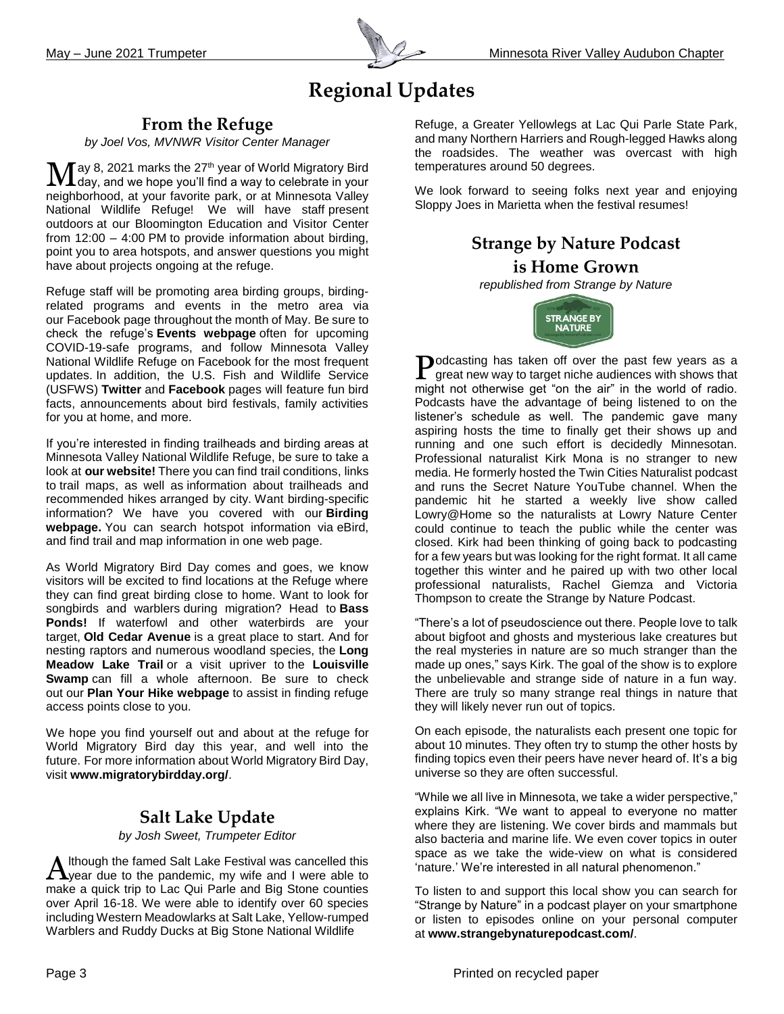

# **Regional Updates**

#### **From the Refuge**

*by Joel Vos, MVNWR Visitor Center Manager*

ay 8, 2021 marks the 27<sup>th</sup> year of World Migratory Bird  $\mathbf{M}$ ay 8, 2021 marks the 27<sup>th</sup> year of World Migratory Bird day, and we hope you'll find a way to celebrate in your neighborhood, at your favorite park, or at Minnesota Valley National Wildlife Refuge! We will have staff present outdoors at our Bloomington Education and Visitor Center from 12:00 – 4:00 PM to provide information about birding, point you to area hotspots, and answer questions you might have about projects ongoing at the refuge.

Refuge staff will be promoting area birding groups, birdingrelated programs and events in the metro area via our [Facebook](https://www.facebook.com/MNvalleyNWR/) page throughout the month of May. Be sure to check the refuge's **[Events webpage](https://www.fws.gov/refuge/Minnesota_Valley/Events.html)** often for upcoming COVID-19-safe programs, and follow Minnesota Valley National Wildlife Refuge on [Facebook](https://www.facebook.com/MNvalleyNWR/) for the most frequent updates. In addition, the U.S. Fish and Wildlife Service (USFWS) **[Twitter](https://twitter.com/USFWS?ref_src=twsrc%5Egoogle%7Ctwcamp%5Eserp%7Ctwgr%5Eauthor)** and **[Facebook](https://www.facebook.com/USFWS/)** pages will feature fun bird facts, announcements about bird festivals, family activities for you at home, and more.

If you're interested in finding trailheads and birding areas at Minnesota Valley National Wildlife Refuge, be sure to take a look at **[our website!](https://www.fws.gov/refuge/Minnesota_Valley/)** There you can find trail conditions, links to trail maps, as well as information about trailheads and recommended hikes arranged by city. Want birding-specific information? We have you covered with our **[Birding](https://www.fws.gov/refuge/minnesota_valley/birding.html) [webpage.](https://www.fws.gov/refuge/minnesota_valley/birding.html)** You can search hotspot information via eBird, and find trail and map information in one web page.

As World Migratory Bird Day comes and goes, we know visitors will be excited to find locations at the Refuge where they can find great birding close to home. Want to look for songbirds and warblers during migration? Head to **[Bass](https://goo.gl/maps/HvQ6SMxpTsBxPfJ47)  [Ponds!](https://goo.gl/maps/HvQ6SMxpTsBxPfJ47)** If waterfowl and other waterbirds are your target, **[Old Cedar Avenue](https://goo.gl/maps/6oMC94Yf8YLF2bKg7)** is a great place to start. And for nesting raptors and numerous woodland species, the **[Long](https://goo.gl/maps/fWBEu2kphARwm1xY7)  [Meadow Lake Trail](https://goo.gl/maps/fWBEu2kphARwm1xY7)** or a visit upriver to the **[Louisville](https://goo.gl/maps/8oT7cFpeJCCsBYJB7)  [Swamp](https://goo.gl/maps/8oT7cFpeJCCsBYJB7)** can fill a whole afternoon. Be sure to check out our **[Plan Your Hike webpage](https://www.fws.gov/refuge/Minnesota_Valley/plan_your_hike.html)** to assist in finding refuge access points close to you.

We hope you find yourself out and about at the refuge for World Migratory Bird day this year, and well into the future. For more information about World Migratory Bird Day, visit **[www.migratorybirdday.org/](http://www.migratorybirdday.org/)**.

#### **Salt Lake Update**

#### *by Josh Sweet, Trumpeter Editor*

lthough the famed Salt Lake Festival was cancelled this Although the famed Salt Lake Festival was cancelled this Lyear due to the pandemic, my wife and I were able to make a quick trip to Lac Qui Parle and Big Stone counties over April 16-18. We were able to identify over 60 species including Western Meadowlarks at Salt Lake, Yellow-rumped Warblers and Ruddy Ducks at Big Stone National Wildlife

Refuge, a Greater Yellowlegs at Lac Qui Parle State Park, and many Northern Harriers and Rough-legged Hawks along the roadsides. The weather was overcast with high temperatures around 50 degrees.

We look forward to seeing folks next year and enjoying Sloppy Joes in Marietta when the festival resumes!

#### **Strange by Nature Podcast is Home Grown**

*republish[ed from Strange](https://www.facebook.com/strangebynaturepodcast) by Nature*



Podcasting has taken off over the past few years as a great new way to target niche audiences with shows that great new way to target niche audiences with shows that might not otherwise get "on the air" in the world of radio. Podcasts have the advantage of being listened to on the listener's schedule as well. The pandemic gave many aspiring hosts the time to finally get their shows up and running and one such effort is decidedly Minnesotan. Professional naturalist Kirk Mona is no stranger to new media. He formerly hosted the Twin Cities Naturalist podcast and runs the Secret Nature YouTube channel. When the pandemic hit he started a weekly live show called Lowry@Home so the naturalists at Lowry Nature Center could continue to teach the public while the center was closed. Kirk had been thinking of going back to podcasting for a few years but was looking for the right format. It all came together this winter and he paired up with two other local professional naturalists, Rachel Giemza and Victoria Thompson to create the Strange by Nature Podcast.

"There's a lot of pseudoscience out there. People love to talk about bigfoot and ghosts and mysterious lake creatures but the real mysteries in nature are so much stranger than the made up ones," says Kirk. The goal of the show is to explore the unbelievable and strange side of nature in a fun way. There are truly so many strange real things in nature that they will likely never run out of topics.

On each episode, the naturalists each present one topic for about 10 minutes. They often try to stump the other hosts by finding topics even their peers have never heard of. It's a big universe so they are often successful.

"While we all live in Minnesota, we take a wider perspective," explains Kirk. "We want to appeal to everyone no matter where they are listening. We cover birds and mammals but also bacteria and marine life. We even cover topics in outer space as we take the wide-view on what is considered 'nature.' We're interested in all natural phenomenon."

To listen to and support this local show you can search for "Strange by Nature" in a podcast player on your smartphone or listen to episodes online on your personal computer at **[www.strangebynaturepodcast.com/](http://www.strangebynaturepodcast.com/)**.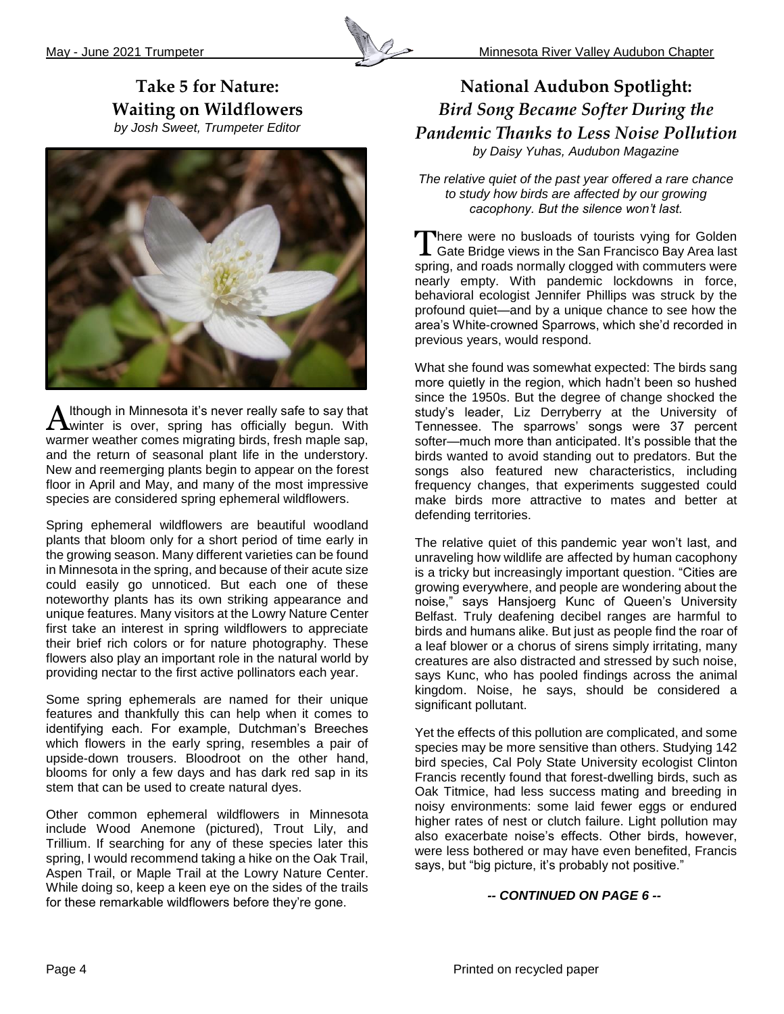

#### **Take 5 for Nature: Waiting on Wildflowers** *by Josh Sweet, Trumpeter Editor*



lthough in Minnesota it's never really safe to say that  $A$ lthough in Minnesota it's never really safe to say that  $A$  winter is over, spring has officially begun. With warmer weather comes migrating birds, fresh maple sap, and the return of seasonal plant life in the understory. New and reemerging plants begin to appear on the forest floor in April and May, and many of the most impressive species are considered spring ephemeral wildflowers.

Spring ephemeral wildflowers are beautiful woodland plants that bloom only for a short period of time early in the growing season. Many different varieties can be found in Minnesota in the spring, and because of their acute size could easily go unnoticed. But each one of these noteworthy plants has its own striking appearance and unique features. Many visitors at the Lowry Nature Center first take an interest in spring wildflowers to appreciate their brief rich colors or for nature photography. These flowers also play an important role in the natural world by providing nectar to the first active pollinators each year.

Some spring ephemerals are named for their unique features and thankfully this can help when it comes to identifying each. For example, Dutchman's Breeches which flowers in the early spring, resembles a pair of upside-down trousers. Bloodroot on the other hand, blooms for only a few days and has dark red sap in its stem that can be used to create natural dyes.

Other common ephemeral wildflowers in Minnesota include Wood Anemone (pictured), Trout Lily, and Trillium. If searching for any of these species later this spring, I would recommend taking a hike on the Oak Trail, Aspen Trail, or Maple Trail at the Lowry Nature Center. While doing so, keep a keen eye on the sides of the trails for these remarkable wildflowers before they're gone.

#### **National Audubon Spotlight:**  *Bird Song Became Softer During the Pandemic Thanks to Less Noise Pollution by Daisy Yuhas, Audubon Magazine*

*The relative quiet of the past year offered a rare chance to study how birds are affected by our growing cacophony. But the silence won't last.* 

There were no busloads of tourists vying for Golden There were no busloads of tourists vying for Golden<br>
Gate Bridge views in the San Francisco Bay Area last spring, and roads normally clogged with commuters were nearly empty. With pandemic lockdowns in force, behavioral ecologist Jennifer Phillips was struck by the profound quiet—and by a unique chance to see how the area's White-crowned Sparrows, which she'd recorded in previous years, would respond.

What she found was somewhat expected: The birds sang more quietly in the region, which hadn't been so hushed since the 1950s. But the degree of change shocked the study's leader, Liz Derryberry at the University of Tennessee. The sparrows' songs were 37 percent softer—much more than anticipated. It's possible that the birds wanted to avoid standing out to predators. But the songs also featured new characteristics, including frequency changes, that experiments suggested could make birds more attractive to mates and better at defending territories.

The relative quiet of this pandemic year won't last, and unraveling how wildlife are affected by human cacophony is a tricky but increasingly important question. "Cities are growing everywhere, and people are wondering about the noise," says Hansjoerg Kunc of Queen's University Belfast. Truly deafening decibel ranges are harmful to birds and humans alike. But just as people find the [roar of](https://www.audubon.org/magazine/spring-2021/communities-are-speaking-out-against-noisy-leaf)  [a leaf blower](https://www.audubon.org/magazine/spring-2021/communities-are-speaking-out-against-noisy-leaf) or a chorus of sirens simply irritating, many creatures are also distracted and stressed by such noise, says Kunc, who has pooled findings across the animal kingdom. Noise, he says, should be considered a significant pollutant.

Yet the effects of this pollution are complicated, and some species may be more sensitive than others. Studying 142 bird species, Cal Poly State University ecologist Clinton Francis recently found that forest-dwelling birds, such as Oak Titmice, had less success mating and breeding in noisy environments: some laid fewer eggs or endured higher rates of nest or clutch failure. Light pollution may also exacerbate noise's effects. Other birds, however, were less bothered or may have even benefited, Francis says, but "big picture, it's probably not positive."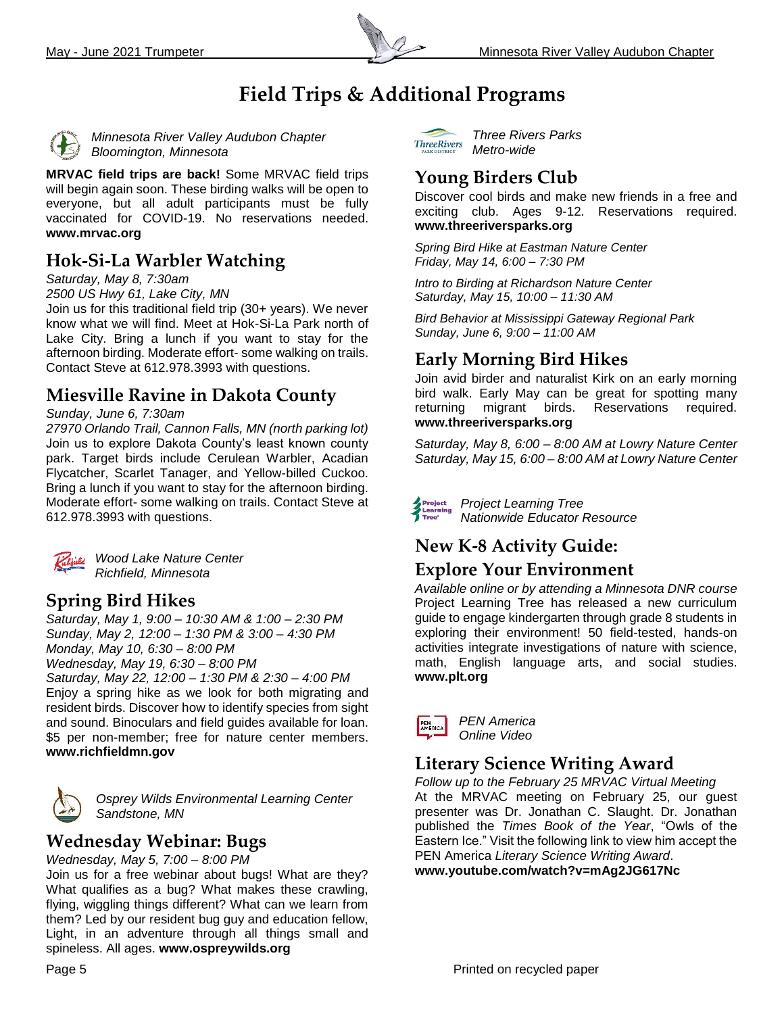

# **Field Trips & Additional Programs**



*Minnesota River Valley Audubon Chapter Bloomington, Minnesota*

**MRVAC field trips are back!** Some MRVAC field trips will begin again soon. These birding walks will be open to everyone, but all adult participants must be fully vaccinated for COVID-19. No reservations needed. **[www.mrvac.org](http://www.mrvac.org/)**

#### **Hok-Si-La Warbler Watching**

*Saturday, May 8, 7:30am* 

*2500 US Hwy 61, Lake City, MN* 

Join us for this traditional field trip (30+ years). We never know what we will find. Meet at Hok-Si-La Park north of Lake City. Bring a lunch if you want to stay for the afternoon birding. Moderate effort- some walking on trails. Contact Steve at 612.978.3993 with questions.

#### **Miesville Ravine in Dakota County**

#### *Sunday, June 6, 7:30am*

*27970 Orlando Trail, Cannon Falls, MN (north parking lot)* Join us to explore Dakota County's least known county park. Target birds include Cerulean Warbler, Acadian Flycatcher, Scarlet Tanager, and Yellow-billed Cuckoo. Bring a lunch if you want to stay for the afternoon birding. Moderate effort- some walking on trails. Contact Steve at 612.978.3993 with questions.



*Wood Lake Nature Center Richfield, Minnesota*

#### **Spring Bird Hikes**

*Saturday, May 1, 9:00 – 10:30 AM & 1:00 – 2:30 PM Sunday, May 2, 12:00 – 1:30 PM & 3:00 – 4:30 PM Monday, May 10, 6:30 – 8:00 PM Wednesday, May 19, 6:30 – 8:00 PM Saturday, May 22, 12:00 – 1:30 PM & 2:30 – 4:00 PM* Enjoy a spring hike as we look for both migrating and resident birds. Discover how to identify species from sight and sound. Binoculars and field guides available for loan. \$5 per non-member; free for nature center members.

**www.richfieldmn.gov**



*Osprey Wilds Environmental Learning Center Sandstone, MN* 

**Wednesday Webinar: Bugs**

*Wednesday, May 5, 7:00 – 8:00 PM* Join us for a free webinar about bugs! What are they? What qualifies as a bug? What makes these crawling, flying, wiggling things different? What can we learn from them? Led by our resident bug guy and education fellow, Light, in an adventure through all things small and spineless. All ages. **[www.ospreywilds.org](http://www.ospreywilds.org/)** 



*Three Rivers Parks Metro-wide*

# **Young Birders Club**

Discover cool birds and make new friends in a free and exciting club. Ages 9-12. Reservations required. **[www.threeriversparks.org](http://www.threeriversparks.org/)**

*Spring Bird Hike at Eastman Nature Center Friday, May 14, 6:00 – 7:30 PM*

*Intro to Birding at Richardson Nature Center Saturday, May 15, 10:00 – 11:30 AM* 

*Bird Behavior at Mississippi Gateway Regional Park Sunday, June 6, 9:00 – 11:00 AM* 

# **Early Morning Bird Hikes**

Join avid birder and naturalist Kirk on an early morning bird walk. Early May can be great for spotting many returning migrant birds. Reservations required. **www.threeriversparks.org**

*Saturday, May 8, 6:00 – 8:00 AM at Lowry Nature Center Saturday, May 15, 6:00 – 8:00 AM at Lowry Nature Center*

*Project Learning Tree* Project<br>Learning<br>Tues *Nationwide Educator Resource*

# **New K-8 Activity Guide:**

#### **Explore Your Environment**

*Available online or by attending a Minnesota DNR course* Project Learning Tree has released a new curriculum guide to engage kindergarten through grade 8 students in exploring their environment! 50 field-tested, hands-on activities integrate investigations of nature with science, math, English language arts, and social studies. **www.plt.org**

| PEN<br>AMERICA | <b>PEN America</b> |
|----------------|--------------------|
|                | Online Video       |

#### **Literary Science Writing Award**

*Follow up to the February 25 MRVAC Virtual Meeting* At the MRVAC meeting on February 25, our guest presenter was Dr. Jonathan C. Slaught. Dr. Jonathan published the *Times Book of the Year*, "Owls of the Eastern Ice." Visit the following link to view him accept the PEN America *Literary Science Writing Award*. **[www.youtube.com/watch?v=mAg2JG617Nc](http://www.youtube.com/watch?v=mAg2JG617Nc)**